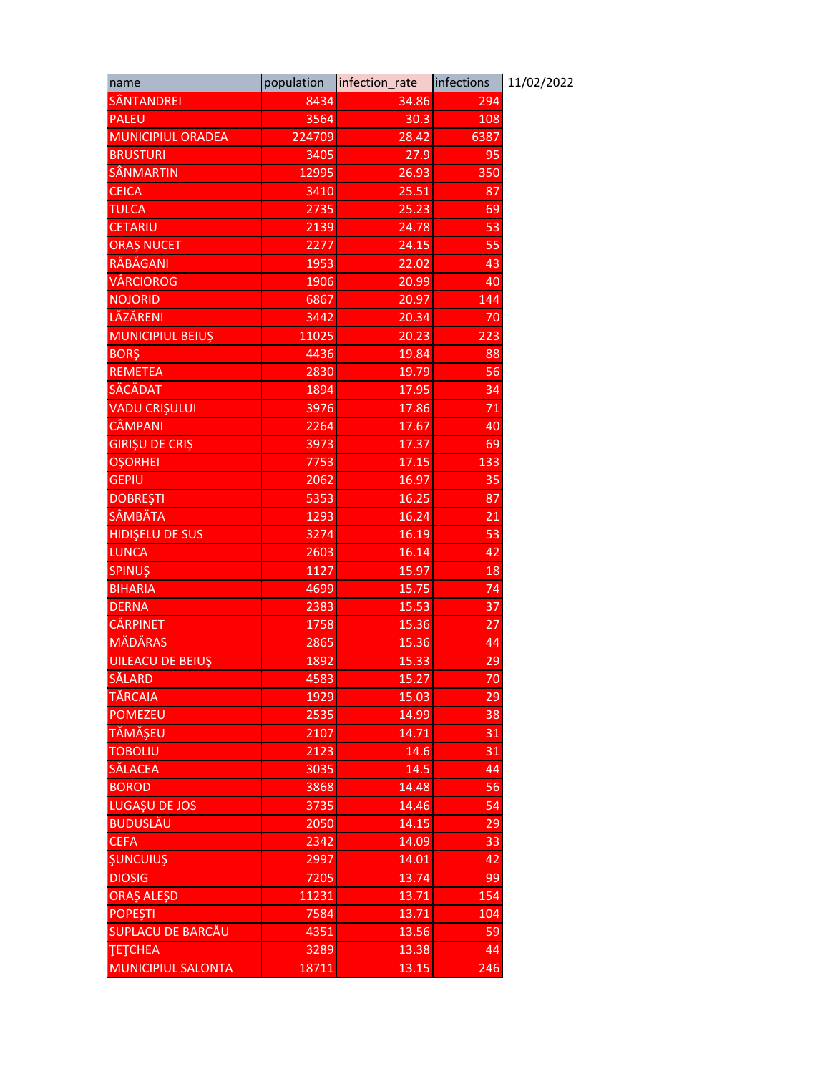| name                      | population       | infection_rate | infections | 11/02/2022 |
|---------------------------|------------------|----------------|------------|------------|
| <b>SÂNTANDREI</b>         | 8434             | 34.86          | 294        |            |
| <b>PALEU</b>              | 3564             | 30.3           | 108        |            |
| <b>MUNICIPIUL ORADEA</b>  | 224709           | 28.42          | 6387       |            |
| <b>BRUSTURI</b>           | 3405             | 27.9           | 95         |            |
| SÂNMARTIN                 | 12995            | 26.93          | 350        |            |
| <b>CEICA</b>              | 3410             | 25.51          | 87         |            |
| <b>TULCA</b>              | 2735             | 25.23          | 69         |            |
| <b>CETARIU</b>            | 2139             | 24.78          | 53         |            |
| <b>ORAŞ NUCET</b>         | 2277             | 24.15          | 55         |            |
| RĂBĂGANI                  | 1953             | 22.02          | 43         |            |
| <b>VÂRCIOROG</b>          | 1906             | 20.99          | 40         |            |
| <b>NOJORID</b>            | 6867             | 20.97          | 144        |            |
| <b>LĂZĂRENI</b>           | 3442             | 20.34          | 70         |            |
| <b>MUNICIPIUL BEIUS</b>   | 11025            | 20.23          | 223        |            |
| <b>BORS</b>               | 4436             | 19.84          | 88         |            |
| <b>REMETEA</b>            | 2830             | 19.79          | 56         |            |
| <b>SĂCĂDAT</b>            | 1894             | 17.95          | 34         |            |
| <b>VADU CRIŞULUI</b>      | 3976             | 17.86          | 71         |            |
| <b>CÂMPANI</b>            | 2264             | 17.67          | 40         |            |
| <b>GIRIŞU DE CRIŞ</b>     | 3973             | 17.37          | 69         |            |
| <b>OŞORHEI</b>            | 7753             | 17.15          | 133        |            |
| <b>GEPIU</b>              | 2062             | 16.97          | 35         |            |
| <b>DOBREȘTI</b>           | 5353             | 16.25          | 87         |            |
| <b>SÂMBĂTA</b>            | 1293             | 16.24          | 21         |            |
| <b>HIDIŞELU DE SUS</b>    | 3274             | 16.19          | 53         |            |
| <b>LUNCA</b>              | 2603             | 16.14          | 42         |            |
| <b>SPINUŞ</b>             | 1127             | 15.97          | 18         |            |
| <b>BIHARIA</b>            | 4699             | 15.75          | 74         |            |
| <b>DERNA</b>              | 2383             | 15.53          | 37         |            |
| <b>CĂRPINET</b>           | 1758             | 15.36          | 27         |            |
| <b>MĂDĂRAS</b>            | 2865             | 15.36          | 44         |            |
| <b>UILEACU DE BEIUŞ</b>   | 1892             | 15.33          | 29         |            |
| SĂLARD                    | 4583             | 15.27          | 70         |            |
| TĂRCAIA                   | 1929             | 15.03          | 29         |            |
| <b>POMEZEU</b>            | 2535             | 14.99          | 38         |            |
| TĂMĂȘEU                   | $\frac{2107}{ }$ | 14.71          | 31         |            |
| <b>TOBOLIU</b>            | 2123             | 14.6           | 31         |            |
| <b>SĂLACEA</b>            | 3035             | 14.5           | 44         |            |
| <b>BOROD</b>              | 3868             | 14.48          | 56         |            |
| LUGAȘU DE JOS             | 3735             | 14.46          | 54         |            |
| <b>BUDUSLĂU</b>           | 2050             | 14.15          | 29         |            |
| <b>CEFA</b>               | 2342             | 14.09          | 33         |            |
| <b>ŞUNCUIUŞ</b>           | 2997             | 14.01          | 42         |            |
| <b>DIOSIG</b>             | 7205             | 13.74          | 99         |            |
| <b>ORAŞ ALEŞD</b>         | 11231            | 13.71          | 154        |            |
| <b>POPEȘTI</b>            | 7584             | 13.71          | 104        |            |
| SUPLACU DE BARCĂU         | 4351             | 13.56          | 59         |            |
| <b>ТЕТСНЕА</b>            | 3289             | 13.38          | 44         |            |
| <b>MUNICIPIUL SALONTA</b> | 18711            | 13.15          | 246        |            |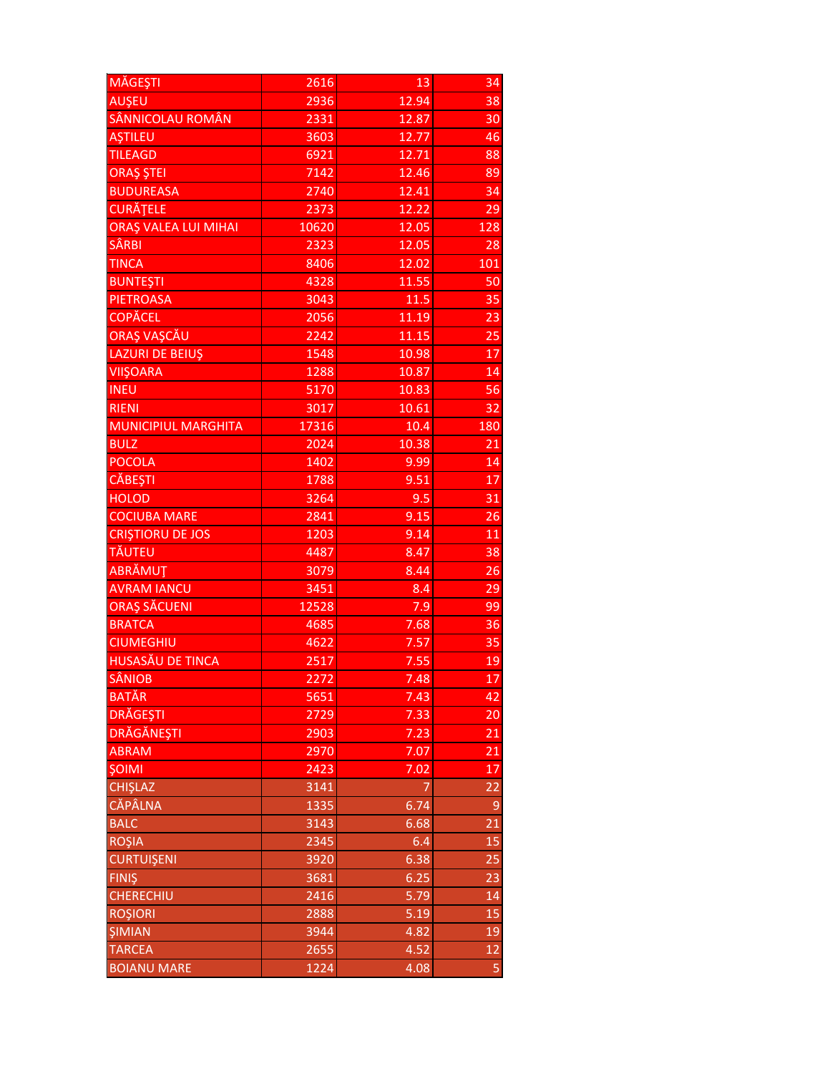| MĂGEȘTI                     | 2616  | 13                | $\overline{34}$ |
|-----------------------------|-------|-------------------|-----------------|
| AUŞEU                       | 2936  | 12.94             | 38              |
| SÂNNICOLAU ROMÂN            | 2331  | 12.87             | 30              |
| <b>AŞTILEU</b>              | 3603  | 12.77             | 46              |
| <b>TILEAGD</b>              | 6921  | 12.71             | 88              |
| <b>ORAȘ ȘTEI</b>            | 7142  | 12.46             | 89              |
| <b>BUDUREASA</b>            | 2740  | 12.41             | 34              |
| CURĂȚELE                    | 2373  | 12.22             | 29              |
| <b>ORAȘ VALEA LUI MIHAI</b> | 10620 | 12.05             | 128             |
| <b>SÂRBI</b>                | 2323  | 12.05             | 28              |
| <b>TINCA</b>                | 8406  | 12.02             | 101             |
| <b>BUNTEŞTI</b>             | 4328  | 11.55             | 50              |
| <b>PIETROASA</b>            | 3043  | 11.5              | 35              |
| <b>COPĂCEL</b>              | 2056  | 11.19             | 23              |
| <b>ORAȘ VAȘCĂU</b>          | 2242  | 11.15             | 25              |
| LAZURI DE BEIUŞ             | 1548  | 10.98             | 17              |
| <b>VIIŞOARA</b>             | 1288  | 10.87             | 14              |
| <b>INEU</b>                 | 5170  | 10.83             | 56              |
| <b>RIENI</b>                | 3017  | 10.61             | 32              |
| <b>MUNICIPIUL MARGHITA</b>  | 17316 | 10.4              | 180             |
| <b>BULZ</b>                 | 2024  | 10.38             | 21              |
| <b>POCOLA</b>               | 1402  | 9.99              | 14              |
| <b>CĂBEȘTI</b>              | 1788  | 9.51              | 17              |
| <b>HOLOD</b>                | 3264  | 9.5               | $\overline{31}$ |
| <b>COCIUBA MARE</b>         | 2841  | 9.15              | 26              |
| <b>CRIȘTIORU DE JOS</b>     | 1203  | 9.14              | 11              |
| TĂUTEU                      | 4487  | 8.47              | 38              |
| ABRĂMUT                     | 3079  | 8.44              | 26              |
| <b>AVRAM IANCU</b>          | 3451  | 8.4               | 29              |
| ORAȘ SĂCUENI                | 12528 | 7.9               | 99              |
| <b>BRATCA</b>               | 4685  | 7.68              | 36              |
| <b>CIUMEGHIU</b>            | 4622  | 7.57              | 35              |
| <b>HUSASĂU DE TINCA</b>     | 2517  | 7.55              | 19              |
| <b>SÂNIOB</b>               | 2272  | $\overline{7.48}$ | 17              |
| <b>BATĂR</b>                | 5651  | 7.43              | 42              |
| <b>DRĂGEȘTI</b>             | 2729  | 7.33              | 20              |
| <b>DRĂGĂNEȘTI</b>           | 2903  | 7.23              | 21              |
| <b>ABRAM</b>                | 2970  | 7.07              | 21              |
| <b>ŞOIMI</b>                | 2423  | 7.02              | 17              |
| <b>CHIŞLAZ</b>              | 3141  | 7                 | 22              |
| <b>CĂPÂLNA</b>              | 1335  | 6.74              | $\mathsf 9$     |
| <b>BALC</b>                 | 3143  | 6.68              | 21              |
| <b>ROŞIA</b>                | 2345  | 6.4               | 15              |
| <b>CURTUIŞENI</b>           | 3920  | 6.38              | 25              |
| <b>FINIŞ</b>                | 3681  | 6.25              | 23              |
| <b>CHERECHIU</b>            | 2416  | 5.79              | 14              |
| <b>ROŞIORI</b>              | 2888  | 5.19              | 15              |
| <b>ŞIMIAN</b>               | 3944  | 4.82              | 19              |
| <b>TARCEA</b>               | 2655  | 4.52              | $\overline{12}$ |
| <b>BOIANU MARE</b>          | 1224  | 4.08              | 5               |